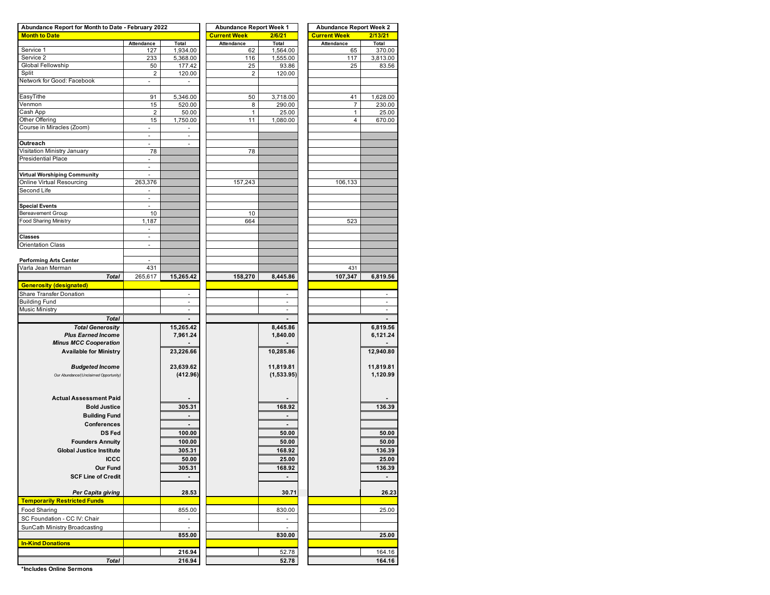| Abundance Report for Month to Date - February 2022 |                          |                       | <b>Abundance Report Week 1</b> |                          | <b>Abundance Report Week 2</b> |                          |  |  |  |  |
|----------------------------------------------------|--------------------------|-----------------------|--------------------------------|--------------------------|--------------------------------|--------------------------|--|--|--|--|
| <b>Month to Date</b>                               |                          |                       | <b>Current Week</b>            | 2/6/21                   | <b>Current Week</b>            | 2/13/21                  |  |  |  |  |
|                                                    | Attendance               | Total                 | Attendance                     | Total                    | Attendance                     | Total                    |  |  |  |  |
| Service 1                                          | 127                      | 1,934.00              | 62                             | 1,564.00                 | 65                             | 370.00                   |  |  |  |  |
| Service 2                                          | 233                      | 5,368.00              | 116                            | 1,555.00                 | 117                            | 3,813.00                 |  |  |  |  |
| Global Fellowship                                  | 50                       | 177.42                | 25                             | 93.86                    | 25                             | 83.56                    |  |  |  |  |
| Split                                              | $\overline{2}$           | 120.00                | $\overline{2}$                 | 120.00                   |                                |                          |  |  |  |  |
| Network for Good: Facebook                         | ÷,                       | ٠                     |                                |                          |                                |                          |  |  |  |  |
|                                                    |                          |                       |                                |                          |                                |                          |  |  |  |  |
| EasyTithe                                          | 91                       | 5,346.00              | 50                             | 3,718.00                 | 41                             | 1,628.00                 |  |  |  |  |
| Venmon                                             | 15                       | 520.00                | 8                              | 290.00                   | 7                              | 230.00                   |  |  |  |  |
| Cash App                                           | $\overline{2}$           | 50.00                 | $\mathbf{1}$                   | 25.00                    | $\mathbf{1}$                   | 25.00                    |  |  |  |  |
| Other Offering                                     | 15                       | 1,750.00              | 11                             | 1,080.00                 | 4                              | 670.00                   |  |  |  |  |
| Course in Miracles (Zoom)                          | ٠                        | ÷,                    |                                |                          |                                |                          |  |  |  |  |
|                                                    | $\blacksquare$           | $\sim$                |                                |                          |                                |                          |  |  |  |  |
| Outreach                                           |                          |                       |                                |                          |                                |                          |  |  |  |  |
| Visitation Ministry January                        | 78                       |                       | 78                             |                          |                                |                          |  |  |  |  |
| Presidential Place                                 | $\sim$                   |                       |                                |                          |                                |                          |  |  |  |  |
|                                                    |                          |                       |                                |                          |                                |                          |  |  |  |  |
| Virtual Worshiping Community                       | ä,                       |                       |                                |                          |                                |                          |  |  |  |  |
| Online Virtual Resourcing                          | 263,376                  |                       | 157,243                        |                          | 106,133                        |                          |  |  |  |  |
| Second Life                                        |                          |                       |                                |                          |                                |                          |  |  |  |  |
|                                                    | ÷,                       |                       |                                |                          |                                |                          |  |  |  |  |
| <b>Special Events</b>                              | $\overline{\phantom{a}}$ |                       |                                |                          |                                |                          |  |  |  |  |
| <b>Bereavement Group</b>                           | 10                       |                       | 10                             |                          |                                |                          |  |  |  |  |
| <b>Food Sharing Ministry</b>                       | 1,187                    |                       | 664                            |                          | 523                            |                          |  |  |  |  |
|                                                    | $\sim$                   |                       |                                |                          |                                |                          |  |  |  |  |
| <b>Classes</b>                                     |                          |                       |                                |                          |                                |                          |  |  |  |  |
| <b>Orientation Class</b>                           | ÷,                       |                       |                                |                          |                                |                          |  |  |  |  |
|                                                    |                          |                       |                                |                          |                                |                          |  |  |  |  |
| <b>Performing Arts Center</b>                      |                          |                       |                                |                          |                                |                          |  |  |  |  |
| Varla Jean Merman                                  | 431                      |                       |                                |                          | 431                            |                          |  |  |  |  |
| <b>Total</b>                                       | 265,617                  | 15,265.42             | 158,270                        | 8,445.86                 | 107,347                        | 6,819.56                 |  |  |  |  |
| <b>Generosity (designated)</b>                     |                          |                       |                                |                          |                                |                          |  |  |  |  |
| Share Transfer Donation                            |                          | ä,                    |                                |                          |                                |                          |  |  |  |  |
| <b>Building Fund</b>                               |                          | $\blacksquare$        |                                | $\overline{\phantom{a}}$ |                                | $\overline{\phantom{a}}$ |  |  |  |  |
| <b>Music Ministry</b>                              |                          | ÷.                    |                                |                          |                                |                          |  |  |  |  |
| <b>Total</b>                                       |                          | $\overline{a}$        |                                |                          |                                |                          |  |  |  |  |
| <b>Total Generosity</b>                            |                          |                       |                                |                          |                                |                          |  |  |  |  |
| <b>Plus Earned Income</b>                          |                          | 15,265.42<br>7,961.24 |                                | 8,445.86<br>1,840.00     |                                | 6,819.56<br>6,121.24     |  |  |  |  |
|                                                    |                          |                       |                                |                          |                                |                          |  |  |  |  |
| <b>Minus MCC Cooperation</b>                       |                          |                       |                                |                          |                                |                          |  |  |  |  |
| <b>Available for Ministry</b>                      |                          | 23,226.66             |                                | 10,285.86                |                                | 12,940.80                |  |  |  |  |
|                                                    |                          |                       |                                |                          |                                |                          |  |  |  |  |
| <b>Budgeted Income</b>                             |                          | 23,639.62             |                                | 11,819.81                |                                | 11,819.81                |  |  |  |  |
| Our Abundance/(Unclaimed Opportunity)              |                          | (412.96)              |                                | (1,533.95)               |                                | 1,120.99                 |  |  |  |  |
|                                                    |                          |                       |                                |                          |                                |                          |  |  |  |  |
|                                                    |                          |                       |                                |                          |                                |                          |  |  |  |  |
| <b>Actual Assessment Paid</b>                      |                          |                       |                                |                          |                                |                          |  |  |  |  |
| <b>Bold Justice</b>                                |                          | 305.31                |                                | 168.92                   |                                | 136.39                   |  |  |  |  |
| <b>Building Fund</b>                               |                          | $\blacksquare$        |                                | $\overline{\phantom{a}}$ |                                |                          |  |  |  |  |
| <b>Conferences</b>                                 |                          |                       |                                |                          |                                |                          |  |  |  |  |
| <b>DS Fed</b>                                      |                          | 100.00                |                                | 50.00                    |                                | 50.00                    |  |  |  |  |
| <b>Founders Annuity</b>                            |                          | 100.00                |                                | 50.00                    |                                | 50.00                    |  |  |  |  |
| <b>Global Justice Institute</b>                    |                          | 305.31                |                                | 168.92                   |                                | 136.39                   |  |  |  |  |
|                                                    |                          |                       |                                |                          |                                |                          |  |  |  |  |
| <b>ICCC</b>                                        |                          | 50.00                 |                                | 25.00                    |                                | <u>25.00</u>             |  |  |  |  |
| Our Fund                                           |                          | 305.31                |                                | 168.92                   |                                | 136.39                   |  |  |  |  |
| <b>SCF Line of Credit</b>                          |                          |                       |                                |                          |                                |                          |  |  |  |  |
|                                                    |                          |                       |                                |                          |                                |                          |  |  |  |  |
| Per Capita giving                                  |                          | 28.53                 |                                | 30.71                    |                                | 26.23                    |  |  |  |  |
| <b>Temporarily Restricted Funds</b>                |                          |                       |                                |                          |                                |                          |  |  |  |  |
| Food Sharing                                       |                          | 855.00                |                                | 830.00                   |                                | 25.00                    |  |  |  |  |
| SC Foundation - CC IV: Chair                       |                          | $\blacksquare$        |                                | $\blacksquare$           |                                |                          |  |  |  |  |
| SunCath Ministry Broadcasting                      |                          | $\omega$              |                                | $\omega$                 |                                |                          |  |  |  |  |
|                                                    |                          | 855.00                |                                | 830.00                   |                                | 25.00                    |  |  |  |  |
| <b>In-Kind Donations</b>                           |                          |                       |                                |                          |                                |                          |  |  |  |  |
|                                                    |                          |                       |                                |                          |                                |                          |  |  |  |  |
|                                                    |                          | 216.94                |                                | 52.78                    |                                | 164.16                   |  |  |  |  |
| <b>Total</b>                                       |                          | 216.94                |                                | 52.78                    | 164.16                         |                          |  |  |  |  |

**\*Includes Online Sermons**